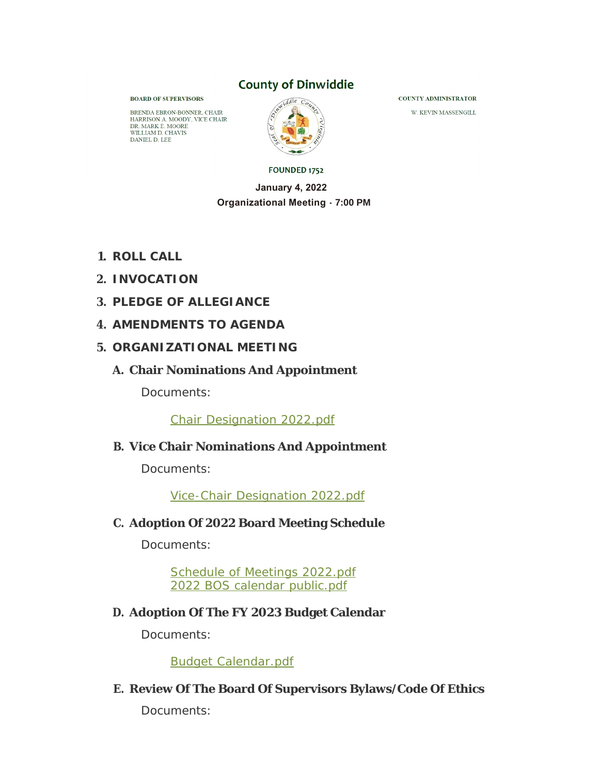### **County of Dinwiddie**

**BOARD OF SUPERVISORS** 

BRENDA EBRON-BONNER, CHAIR HARRISON A. MOODY, VICE CHAIR DR. MARK E. MOORE<br>WILLIAM D. CHAVIS DANIEL D. LEE



FOUNDED 1752

#### **January 4, 2022 Organizational Meeting - 7:00 PM**

- **ROLL CALL 1.**
- **INVOCATION 2.**
- **PLEDGE OF ALLEGIANCE 3.**
- **AMENDMENTS TO AGENDA 4.**
- **ORGANIZATIONAL MEETING 5.**
	- **Chair Nominations And Appointment A.**

Documents:

Chair Designation 2022.pdf

### **Vice Chair Nominations And Appointment B.**

Documents:

Vice-Chair Designation 2022.pdf

**Adoption Of 2022 Board Meeting Schedule C.**

Documents:

Schedule of Meetings 2022.pdf 2022 BOS calendar public.pdf

### **Adoption Of The FY 2023 Budget Calendar D.**

Documents:

Budget Calendar.pdf

### **Review Of The Board Of Supervisors Bylaws/Code Of Ethics E.**

Documents:

**COUNTY ADMINISTRATOR** 

W. KEVIN MASSENGILL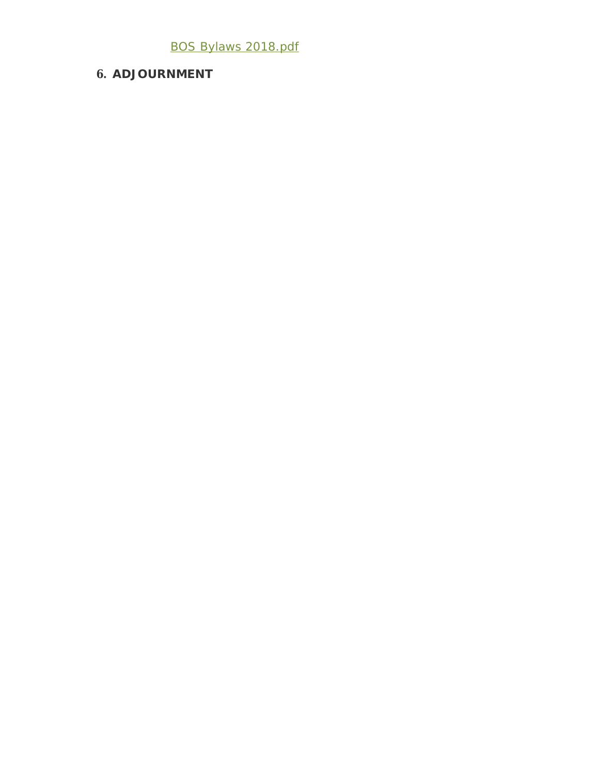### BOS Bylaws 2018.pdf

### **ADJOURNMENT 6.**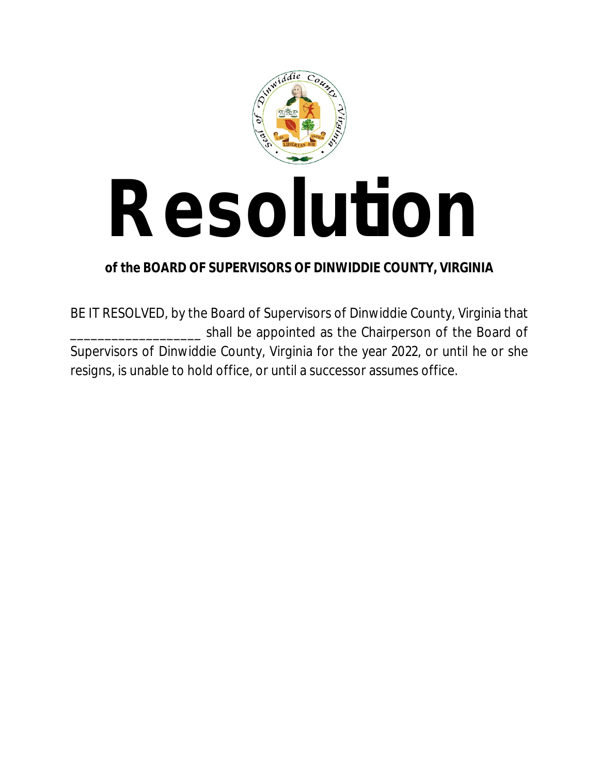

# **Resolution**

### **of the BOARD OF SUPERVISORS OF DINWIDDIE COUNTY, VIRGINIA**

BE IT RESOLVED, by the Board of Supervisors of Dinwiddie County, Virginia that shall be appointed as the Chairperson of the Board of Supervisors of Dinwiddie County, Virginia for the year 2022, or until he or she resigns, is unable to hold office, or until a successor assumes office.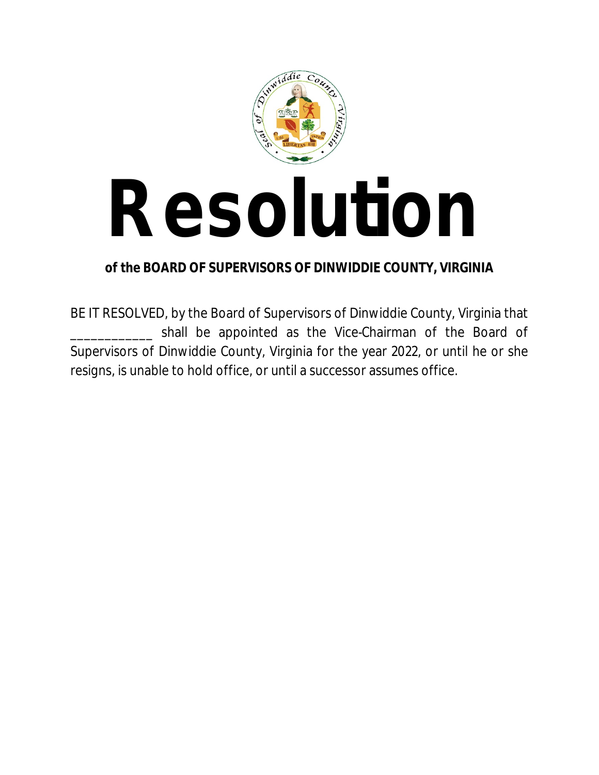

# **Resolution**

### **of the BOARD OF SUPERVISORS OF DINWIDDIE COUNTY, VIRGINIA**

BE IT RESOLVED, by the Board of Supervisors of Dinwiddie County, Virginia that shall be appointed as the Vice-Chairman of the Board of Supervisors of Dinwiddie County, Virginia for the year 2022, or until he or she resigns, is unable to hold office, or until a successor assumes office.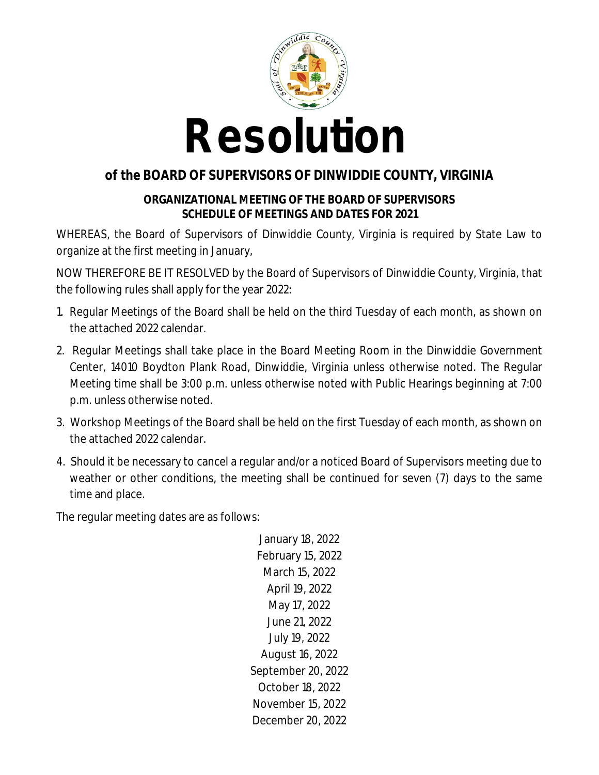

### **of the BOARD OF SUPERVISORS OF DINWIDDIE COUNTY, VIRGINIA**

### **ORGANIZATIONAL MEETING OF THE BOARD OF SUPERVISORS SCHEDULE OF MEETINGS AND DATES FOR 2021**

WHEREAS, the Board of Supervisors of Dinwiddie County, Virginia is required by State Law to organize at the first meeting in January,

NOW THEREFORE BE IT RESOLVED by the Board of Supervisors of Dinwiddie County, Virginia, that the following rules shall apply for the year 2022:

- 1. Regular Meetings of the Board shall be held on the third Tuesday of each month, as shown on the attached 2022 calendar.
- 2. Regular Meetings shall take place in the Board Meeting Room in the Dinwiddie Government Center, 14010 Boydton Plank Road, Dinwiddie, Virginia unless otherwise noted. The Regular Meeting time shall be 3:00 p.m. unless otherwise noted with Public Hearings beginning at 7:00 p.m. unless otherwise noted.
- 3. Workshop Meetings of the Board shall be held on the first Tuesday of each month, as shown on the attached 2022 calendar.
- 4. Should it be necessary to cancel a regular and/or a noticed Board of Supervisors meeting due to weather or other conditions, the meeting shall be continued for seven (7) days to the same time and place.

The regular meeting dates are as follows:

January 18, 2022 February 15, 2022 March 15, 2022 April 19, 2022 May 17, 2022 June 21, 2022 July 19, 2022 August 16, 2022 September 20, 2022 October 18, 2022 November 15, 2022 December 20, 2022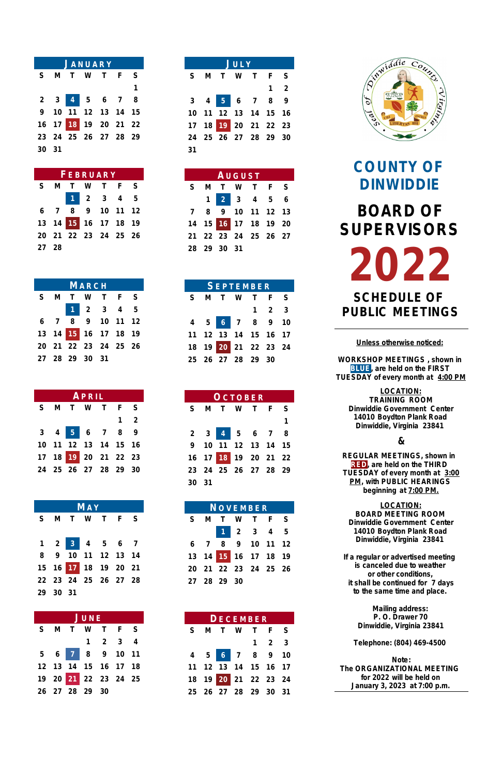| <b>JANUARY</b> |  |  |  |                      |  |   |  |  |  |
|----------------|--|--|--|----------------------|--|---|--|--|--|
|                |  |  |  | S M T W T F S        |  |   |  |  |  |
|                |  |  |  |                      |  | 1 |  |  |  |
|                |  |  |  | 2 3 4 5 6 7 8        |  |   |  |  |  |
|                |  |  |  | 9 10 11 12 13 14 15  |  |   |  |  |  |
|                |  |  |  | 16 17 18 19 20 21 22 |  |   |  |  |  |
|                |  |  |  | 23 24 25 26 27 28 29 |  |   |  |  |  |
| 30 31          |  |  |  |                      |  |   |  |  |  |

| <b>FEBRUARY</b> |  |  |                      |  |  |  |  |  |  |
|-----------------|--|--|----------------------|--|--|--|--|--|--|
|                 |  |  | S M T W T F S        |  |  |  |  |  |  |
|                 |  |  | 1 2 3 4 5            |  |  |  |  |  |  |
|                 |  |  | 6 7 8 9 10 11 12     |  |  |  |  |  |  |
|                 |  |  | 13 14 15 16 17 18 19 |  |  |  |  |  |  |
|                 |  |  | 20 21 22 23 24 25 26 |  |  |  |  |  |  |
| 27 28           |  |  |                      |  |  |  |  |  |  |

| <b>MARCH</b> |  |  |                      |  |  |  |  |  |  |
|--------------|--|--|----------------------|--|--|--|--|--|--|
|              |  |  | S M T W T F S        |  |  |  |  |  |  |
|              |  |  | 1 2 3 4 5            |  |  |  |  |  |  |
|              |  |  | 6 7 8 9 10 11 12     |  |  |  |  |  |  |
|              |  |  | 13 14 15 16 17 18 19 |  |  |  |  |  |  |
|              |  |  | 20 21 22 23 24 25 26 |  |  |  |  |  |  |
|              |  |  | 27 28 29 30 31       |  |  |  |  |  |  |

| APRIL |  |  |  |                                                     |             |  |  |  |
|-------|--|--|--|-----------------------------------------------------|-------------|--|--|--|
|       |  |  |  | S M T W T F S                                       |             |  |  |  |
|       |  |  |  |                                                     | $1 \quad 2$ |  |  |  |
|       |  |  |  | $3 \quad 4 \quad 5 \quad 6 \quad 7 \quad 8 \quad 9$ |             |  |  |  |
|       |  |  |  | 10 11 12 13 14 15 16                                |             |  |  |  |
|       |  |  |  | 17 18 19 20 21 22 23                                |             |  |  |  |
|       |  |  |  | 24  25  26  27  28  29  30                          |             |  |  |  |

| MAY |          |  |  |                             |  |  |  |  |  |
|-----|----------|--|--|-----------------------------|--|--|--|--|--|
|     |          |  |  | S M T W T F S               |  |  |  |  |  |
|     |          |  |  |                             |  |  |  |  |  |
|     |          |  |  | $1 \t2 \t3 \t4 \t5 \t6 \t7$ |  |  |  |  |  |
|     |          |  |  | 8 9 10 11 12 13 14          |  |  |  |  |  |
|     |          |  |  | 15 16 17 18 19 20 21        |  |  |  |  |  |
|     |          |  |  | 22 23 24 25 26 27 28        |  |  |  |  |  |
|     | 29 30 31 |  |  |                             |  |  |  |  |  |

| JUNE                        |  |  |                      |  |  |  |  |  |  |
|-----------------------------|--|--|----------------------|--|--|--|--|--|--|
| S M T W T F S               |  |  |                      |  |  |  |  |  |  |
| $1 \quad 2 \quad 3 \quad 4$ |  |  |                      |  |  |  |  |  |  |
|                             |  |  | 5 6 7 8 9 10 11      |  |  |  |  |  |  |
|                             |  |  | 12 13 14 15 16 17 18 |  |  |  |  |  |  |
|                             |  |  | 19 20 21 22 23 24 25 |  |  |  |  |  |  |
|                             |  |  | 26 27 28 29 30       |  |  |  |  |  |  |

| JULY |  |  |  |                      |  |             |  |  |
|------|--|--|--|----------------------|--|-------------|--|--|
|      |  |  |  | S M T W T F S        |  |             |  |  |
|      |  |  |  |                      |  | $1 \quad 2$ |  |  |
|      |  |  |  | $3$ 4 5 6 7 8 9      |  |             |  |  |
|      |  |  |  | 10 11 12 13 14 15 16 |  |             |  |  |
|      |  |  |  | 17 18 19 20 21 22 23 |  |             |  |  |
|      |  |  |  | 24 25 26 27 28 29 30 |  |             |  |  |
| 31   |  |  |  |                      |  |             |  |  |

| AUGUST |             |  |                      |  |  |  |  |  |
|--------|-------------|--|----------------------|--|--|--|--|--|
|        |             |  | S M T W T F S        |  |  |  |  |  |
|        |             |  | 1 2 3 4 5 6          |  |  |  |  |  |
|        |             |  | 7 8 9 10 11 12 13    |  |  |  |  |  |
|        |             |  | 14 15 16 17 18 19 20 |  |  |  |  |  |
|        |             |  | 21 22 23 24 25 26 27 |  |  |  |  |  |
|        | 28 29 30 31 |  |                      |  |  |  |  |  |

| <b>SEPTEMBER</b> |  |  |  |                      |                     |  |  |  |  |
|------------------|--|--|--|----------------------|---------------------|--|--|--|--|
|                  |  |  |  | S M T W T F S        |                     |  |  |  |  |
|                  |  |  |  |                      | $1 \quad 2 \quad 3$ |  |  |  |  |
|                  |  |  |  | 4 5 6 7 8 9 10       |                     |  |  |  |  |
|                  |  |  |  | 11 12 13 14 15 16 17 |                     |  |  |  |  |
|                  |  |  |  | 18 19 20 21 22 23 24 |                     |  |  |  |  |
|                  |  |  |  | 25 26 27 28 29 30    |                     |  |  |  |  |

| OCTOBER |  |  |  |                      |  |   |  |  |  |
|---------|--|--|--|----------------------|--|---|--|--|--|
|         |  |  |  | S M T W T F S        |  |   |  |  |  |
|         |  |  |  |                      |  | 1 |  |  |  |
|         |  |  |  | 2 3 4 5 6 7 8        |  |   |  |  |  |
|         |  |  |  | 9 10 11 12 13 14 15  |  |   |  |  |  |
|         |  |  |  | 16 17 18 19 20 21 22 |  |   |  |  |  |
|         |  |  |  | 23 24 25 26 27 28 29 |  |   |  |  |  |
| 30 31   |  |  |  |                      |  |   |  |  |  |

| NOVEMBER |             |  |                      |  |  |  |  |  |  |
|----------|-------------|--|----------------------|--|--|--|--|--|--|
|          |             |  | S M T W T F S        |  |  |  |  |  |  |
|          |             |  | 1 2 3 4 5            |  |  |  |  |  |  |
|          |             |  | $6$ 7 8 9 10 11 12   |  |  |  |  |  |  |
|          |             |  | 13 14 15 16 17 18 19 |  |  |  |  |  |  |
|          |             |  | 20 21 22 23 24 25 26 |  |  |  |  |  |  |
|          | 27 28 29 30 |  |                      |  |  |  |  |  |  |



| <b>DECEMBER</b> |  |  |  |                      |                     |  |  |  |
|-----------------|--|--|--|----------------------|---------------------|--|--|--|
|                 |  |  |  | S M T W T F S        |                     |  |  |  |
|                 |  |  |  |                      | $1 \quad 2 \quad 3$ |  |  |  |
|                 |  |  |  | 4 5 6 7 8 9 10       |                     |  |  |  |
|                 |  |  |  | 11 12 13 14 15 16 17 |                     |  |  |  |
|                 |  |  |  | 18 19 20 21 22 23 24 |                     |  |  |  |
|                 |  |  |  | 25 26 27 28 29 30 31 |                     |  |  |  |

**COUNTY OF DINWIDDIE BOARD OF SUPERVISORS 2022 SCHEDULE OF PUBLIC MEETINGS**

**Unless otherwise noticed:**

**WORKSHOP MEETINGS , shown in BLUE, are held on the FIRST TUESDAY of every month at 4:00 PM**

**LOCATION: TRAINING ROOM Dinwiddie Government Center 14010 Boydton Plank Road Dinwiddie, Virginia 23841**

**&**

**REGULAR MEETINGS, shown in RED, are held on the THIRD TUESDAY of every month at 3:00 PM, with PUBLIC HEARINGS beginning at 7:00 PM.**

**LOCATION: BOARD MEETING ROOM Dinwiddie Government Center 14010 Boydton Plank Road Dinwiddie, Virginia 23841**

**If a regular or advertised meeting is canceled due to weather**

**or other conditions, it shall be continued for 7 days to the same time and place.**

**Mailing address: P. O. Drawer 70 Dinwiddie, Virginia 23841**

**Telephone: (804) 469-4500**

**Note: The ORGANIZATIONAL MEETING for 2022 will be held on January 3, 2023 at 7:00 p.m.**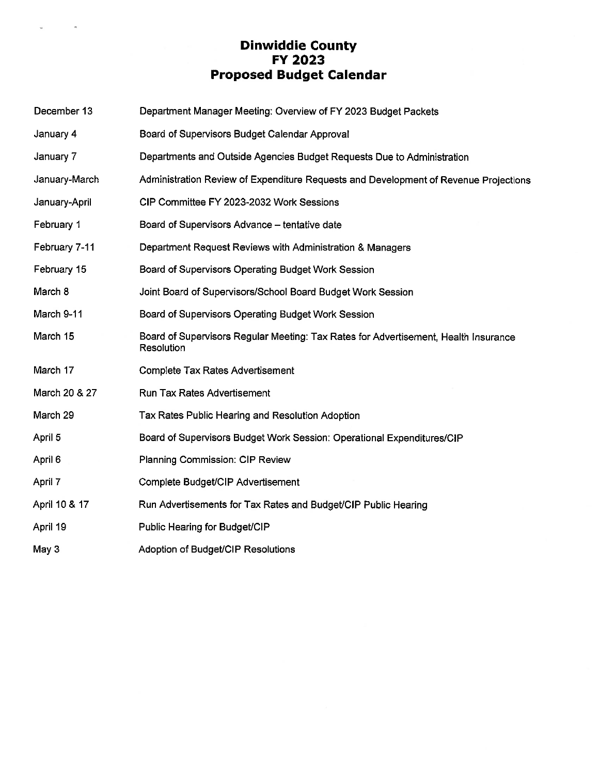### Dinwiddie County<br>FY 2023 Proposed Budget Calendar

 $\bar{\nu}_\mathrm{c}$ 

 $\overline{u}$ 

| December 13   | Department Manager Meeting: Overview of FY 2023 Budget Packets                                    |
|---------------|---------------------------------------------------------------------------------------------------|
| January 4     | Board of Supervisors Budget Calendar Approval                                                     |
| January 7     | Departments and Outside Agencies Budget Requests Due to Administration                            |
| January-March | Administration Review of Expenditure Requests and Development of Revenue Projections              |
| January-April | CIP Committee FY 2023-2032 Work Sessions                                                          |
| February 1    | Board of Supervisors Advance - tentative date                                                     |
| February 7-11 | Department Request Reviews with Administration & Managers                                         |
| February 15   | Board of Supervisors Operating Budget Work Session                                                |
| March 8       | Joint Board of Supervisors/School Board Budget Work Session                                       |
| March 9-11    | Board of Supervisors Operating Budget Work Session                                                |
| March 15      | Board of Supervisors Regular Meeting: Tax Rates for Advertisement, Health Insurance<br>Resolution |
| March 17      | Complete Tax Rates Advertisement                                                                  |
| March 20 & 27 | <b>Run Tax Rates Advertisement</b>                                                                |
| March 29      | Tax Rates Public Hearing and Resolution Adoption                                                  |
| April 5       | Board of Supervisors Budget Work Session: Operational Expenditures/CIP                            |
| April 6       | Planning Commission: CIP Review                                                                   |
| April 7       | Complete Budget/CIP Advertisement                                                                 |
| April 10 & 17 | Run Advertisements for Tax Rates and Budget/CIP Public Hearing                                    |
| April 19      | Public Hearing for Budget/CIP                                                                     |
| May 3         | Adoption of Budget/CIP Resolutions                                                                |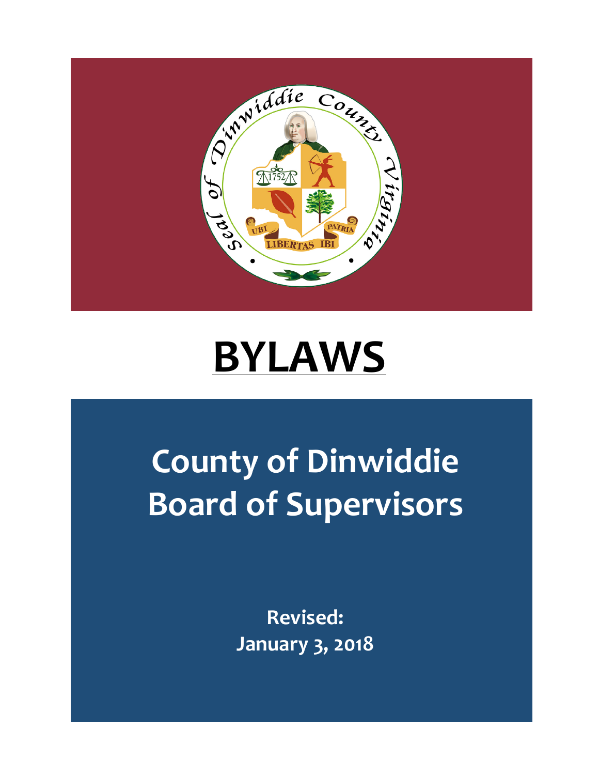

# **BYLAWS**

## **County of Dinwiddie Board of Supervisors**

**Revised: January 3, 2018**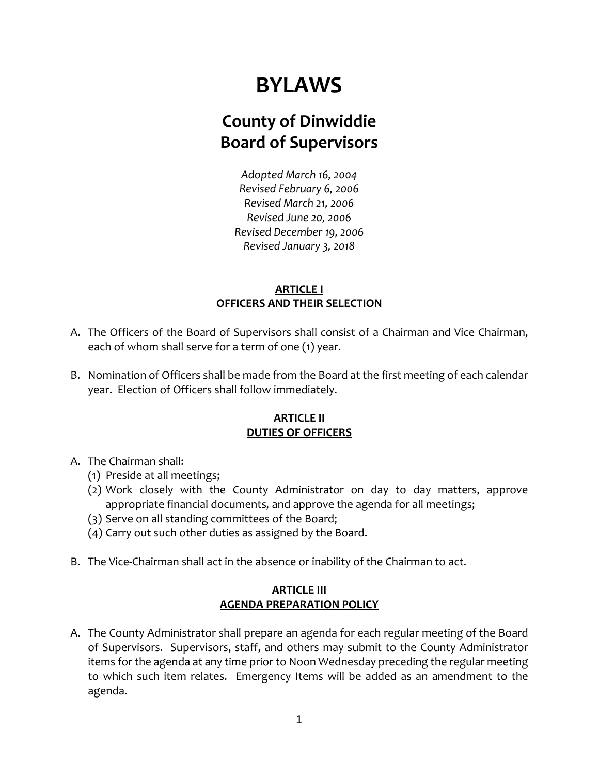## **BYLAWS**

### **County of Dinwiddie Board of Supervisors**

*Adopted March 16, 2004 Revised February 6, 2006 Revised March 21, 2006 Revised June 20, 2006 Revised December 19, 2006 Revised January 3, 2018*

### **ARTICLE I OFFICERS AND THEIR SELECTION**

- A. The Officers of the Board of Supervisors shall consist of a Chairman and Vice Chairman, each of whom shall serve for a term of one (1) year.
- B. Nomination of Officers shall be made from the Board at the first meeting of each calendar year. Election of Officers shall follow immediately.

### **ARTICLE II DUTIES OF OFFICERS**

- A. The Chairman shall:
	- (1) Preside at all meetings;
	- (2) Work closely with the County Administrator on day to day matters, approve appropriate financial documents*,* and approve the agenda for all meetings;
	- (3) Serve on all standing committees of the Board;
	- (4) Carry out such other duties as assigned by the Board.
- B. The Vice-Chairman shall act in the absence or inability of the Chairman to act.

### **ARTICLE III AGENDA PREPARATION POLICY**

A. The County Administrator shall prepare an agenda for each regular meeting of the Board of Supervisors. Supervisors, staff, and others may submit to the County Administrator items for the agenda at any time prior to Noon Wednesday preceding the regular meeting to which such item relates. Emergency Items will be added as an amendment to the agenda.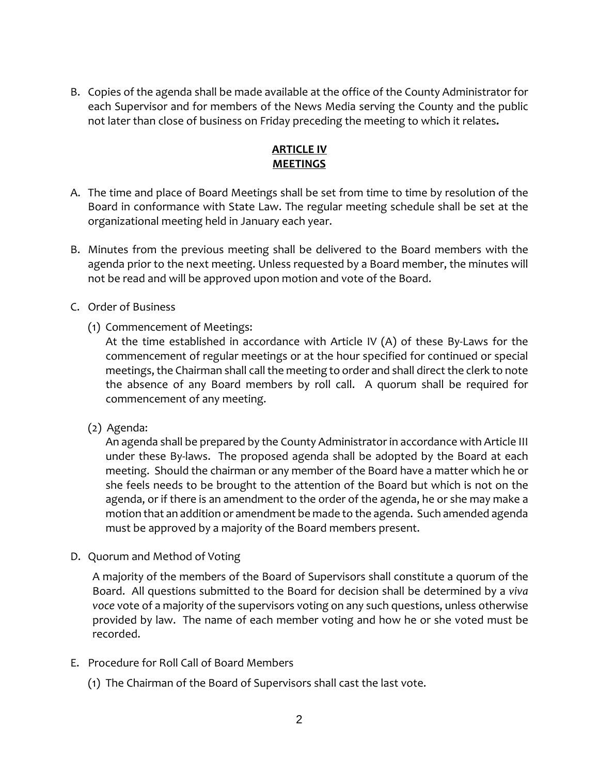B. Copies of the agenda shall be made available at the office of the County Administrator for each Supervisor and for members of the News Media serving the County and the public not later than close of business on Friday preceding the meeting to which it relates**.**

### **ARTICLE IV MEETINGS**

- A. The time and place of Board Meetings shall be set from time to time by resolution of the Board in conformance with State Law. The regular meeting schedule shall be set at the organizational meeting held in January each year.
- B. Minutes from the previous meeting shall be delivered to the Board members with the agenda prior to the next meeting. Unless requested by a Board member, the minutes will not be read and will be approved upon motion and vote of the Board.
- C. Order of Business
	- (1) Commencement of Meetings:

At the time established in accordance with Article IV (A) of these By-Laws for the commencement of regular meetings or at the hour specified for continued or special meetings, the Chairman shall call the meeting to order and shall direct the clerk to note the absence of any Board members by roll call. A quorum shall be required for commencement of any meeting.

(2) Agenda:

An agenda shall be prepared by the County Administrator in accordance with Article III under these By-laws. The proposed agenda shall be adopted by the Board at each meeting. Should the chairman or any member of the Board have a matter which he or she feels needs to be brought to the attention of the Board but which is not on the agenda, or if there is an amendment to the order of the agenda, he or she may make a motion that an addition or amendment be made to the agenda. Such amended agenda must be approved by a majority of the Board members present.

D. Quorum and Method of Voting

A majority of the members of the Board of Supervisors shall constitute a quorum of the Board. All questions submitted to the Board for decision shall be determined by a *viva voce* vote of a majority of the supervisors voting on any such questions, unless otherwise provided by law. The name of each member voting and how he or she voted must be recorded.

- E. Procedure for Roll Call of Board Members
	- (1) The Chairman of the Board of Supervisors shall cast the last vote.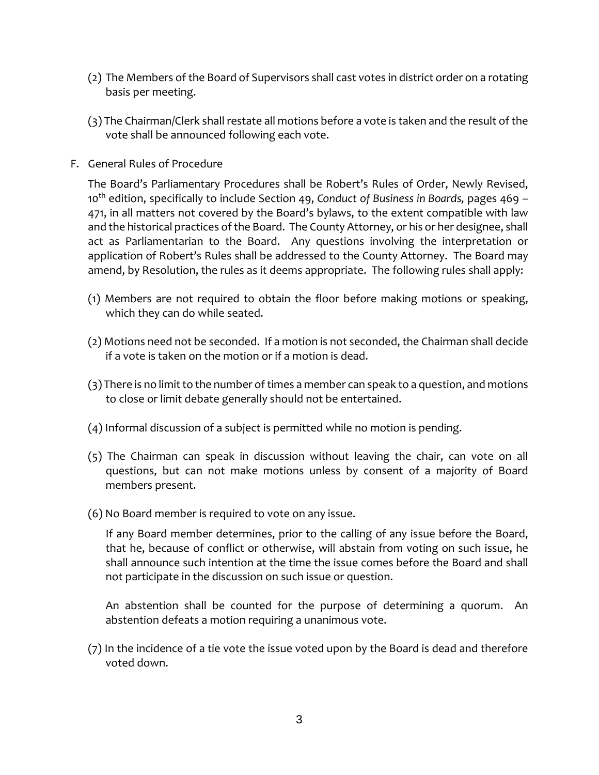- (2) The Members of the Board of Supervisors shall cast votes in district order on a rotating basis per meeting.
- (3) The Chairman/Clerk shall restate all motions before a vote is taken and the result of the vote shall be announced following each vote.
- F. General Rules of Procedure

The Board's Parliamentary Procedures shall be Robert's Rules of Order, Newly Revised, 10th edition, specifically to include Section 49, *Conduct of Business in Boards,* pages 469 – 471, in all matters not covered by the Board's bylaws, to the extent compatible with law and the historical practices of the Board. The County Attorney, or his or her designee, shall act as Parliamentarian to the Board. Any questions involving the interpretation or application of Robert's Rules shall be addressed to the County Attorney. The Board may amend, by Resolution, the rules as it deems appropriate. The following rules shall apply:

- (1) Members are not required to obtain the floor before making motions or speaking, which they can do while seated.
- (2) Motions need not be seconded. If a motion is not seconded, the Chairman shall decide if a vote is taken on the motion or if a motion is dead.
- (3) There is no limit to the number of times a member can speak to a question, and motions to close or limit debate generally should not be entertained.
- (4) Informal discussion of a subject is permitted while no motion is pending.
- (5) The Chairman can speak in discussion without leaving the chair, can vote on all questions, but can not make motions unless by consent of a majority of Board members present.
- (6) No Board member is required to vote on any issue.

If any Board member determines, prior to the calling of any issue before the Board, that he, because of conflict or otherwise, will abstain from voting on such issue, he shall announce such intention at the time the issue comes before the Board and shall not participate in the discussion on such issue or question.

An abstention shall be counted for the purpose of determining a quorum. An abstention defeats a motion requiring a unanimous vote.

(7) In the incidence of a tie vote the issue voted upon by the Board is dead and therefore voted down.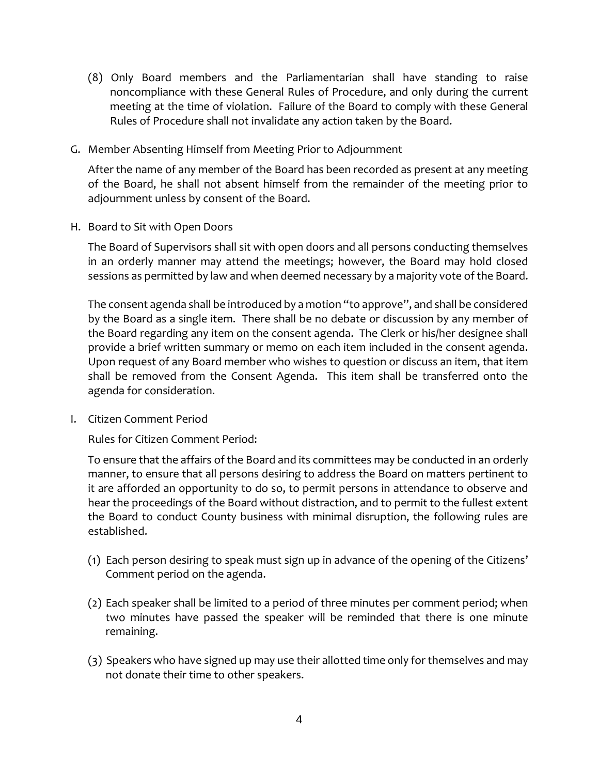- (8) Only Board members and the Parliamentarian shall have standing to raise noncompliance with these General Rules of Procedure, and only during the current meeting at the time of violation. Failure of the Board to comply with these General Rules of Procedure shall not invalidate any action taken by the Board.
- G. Member Absenting Himself from Meeting Prior to Adjournment

After the name of any member of the Board has been recorded as present at any meeting of the Board, he shall not absent himself from the remainder of the meeting prior to adjournment unless by consent of the Board.

H. Board to Sit with Open Doors

The Board of Supervisors shall sit with open doors and all persons conducting themselves in an orderly manner may attend the meetings; however, the Board may hold closed sessions as permitted by law and when deemed necessary by a majority vote of the Board.

The consent agenda shall be introduced by a motion "to approve", and shall be considered by the Board as a single item. There shall be no debate or discussion by any member of the Board regarding any item on the consent agenda. The Clerk or his/her designee shall provide a brief written summary or memo on each item included in the consent agenda. Upon request of any Board member who wishes to question or discuss an item, that item shall be removed from the Consent Agenda. This item shall be transferred onto the agenda for consideration.

I. Citizen Comment Period

Rules for Citizen Comment Period:

To ensure that the affairs of the Board and its committees may be conducted in an orderly manner, to ensure that all persons desiring to address the Board on matters pertinent to it are afforded an opportunity to do so, to permit persons in attendance to observe and hear the proceedings of the Board without distraction, and to permit to the fullest extent the Board to conduct County business with minimal disruption, the following rules are established.

- (1) Each person desiring to speak must sign up in advance of the opening of the Citizens' Comment period on the agenda.
- (2) Each speaker shall be limited to a period of three minutes per comment period; when two minutes have passed the speaker will be reminded that there is one minute remaining.
- (3) Speakers who have signed up may use their allotted time only for themselves and may not donate their time to other speakers.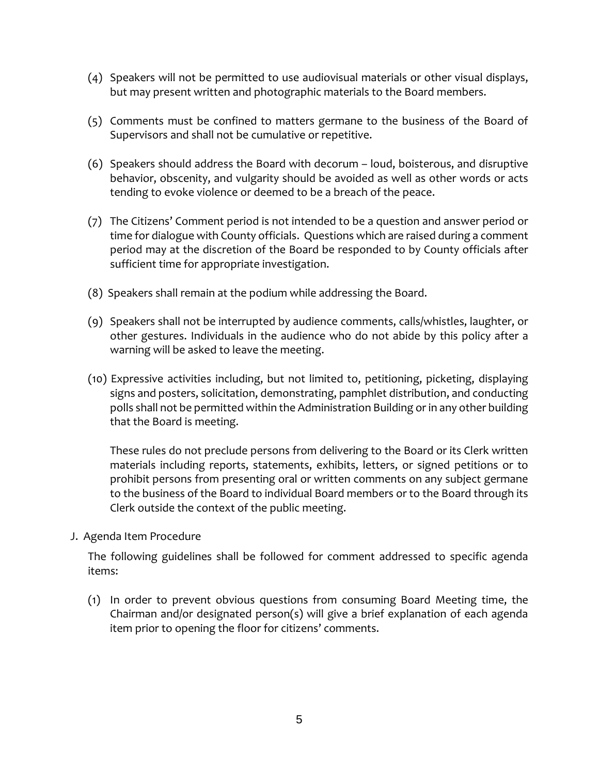- (4) Speakers will not be permitted to use audiovisual materials or other visual displays, but may present written and photographic materials to the Board members.
- (5) Comments must be confined to matters germane to the business of the Board of Supervisors and shall not be cumulative or repetitive.
- (6) Speakers should address the Board with decorum loud, boisterous, and disruptive behavior, obscenity, and vulgarity should be avoided as well as other words or acts tending to evoke violence or deemed to be a breach of the peace.
- (7) The Citizens' Comment period is not intended to be a question and answer period or time for dialogue with County officials. Questions which are raised during a comment period may at the discretion of the Board be responded to by County officials after sufficient time for appropriate investigation.
- (8) Speakers shall remain at the podium while addressing the Board.
- (9) Speakers shall not be interrupted by audience comments, calls/whistles, laughter, or other gestures. Individuals in the audience who do not abide by this policy after a warning will be asked to leave the meeting.
- (10) Expressive activities including, but not limited to, petitioning, picketing, displaying signs and posters, solicitation, demonstrating, pamphlet distribution, and conducting polls shall not be permitted within the Administration Building or in any other building that the Board is meeting.

These rules do not preclude persons from delivering to the Board or its Clerk written materials including reports, statements, exhibits, letters, or signed petitions or to prohibit persons from presenting oral or written comments on any subject germane to the business of the Board to individual Board members or to the Board through its Clerk outside the context of the public meeting.

J. Agenda Item Procedure

The following guidelines shall be followed for comment addressed to specific agenda items:

(1) In order to prevent obvious questions from consuming Board Meeting time, the Chairman and/or designated person(s) will give a brief explanation of each agenda item prior to opening the floor for citizens' comments.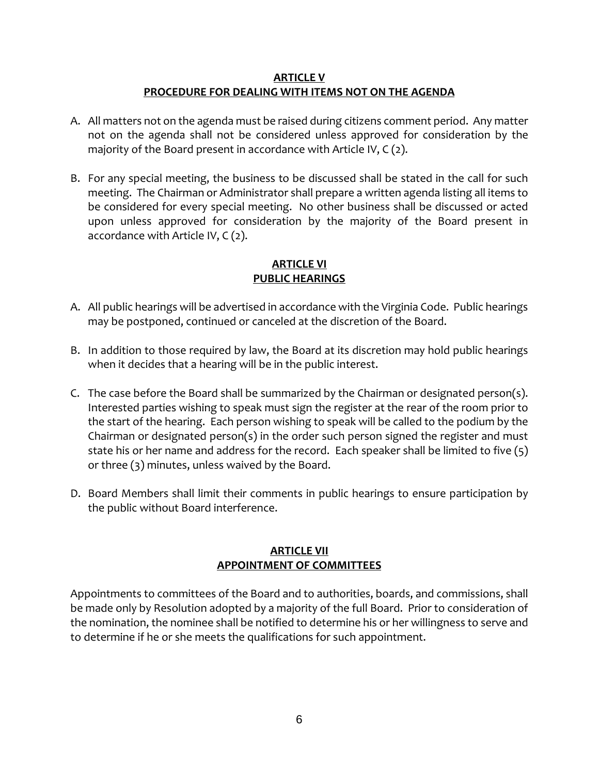#### **ARTICLE V PROCEDURE FOR DEALING WITH ITEMS NOT ON THE AGENDA**

- A. All matters not on the agenda must be raised during citizens comment period. Any matter not on the agenda shall not be considered unless approved for consideration by the majority of the Board present in accordance with Article IV, C (2).
- B. For any special meeting, the business to be discussed shall be stated in the call for such meeting. The Chairman or Administrator shall prepare a written agenda listing all items to be considered for every special meeting. No other business shall be discussed or acted upon unless approved for consideration by the majority of the Board present in accordance with Article IV, C (2).

### **ARTICLE VI PUBLIC HEARINGS**

- A. All public hearings will be advertised in accordance with the Virginia Code. Public hearings may be postponed, continued or canceled at the discretion of the Board.
- B. In addition to those required by law, the Board at its discretion may hold public hearings when it decides that a hearing will be in the public interest.
- C. The case before the Board shall be summarized by the Chairman or designated person(s). Interested parties wishing to speak must sign the register at the rear of the room prior to the start of the hearing. Each person wishing to speak will be called to the podium by the Chairman or designated person(s) in the order such person signed the register and must state his or her name and address for the record. Each speaker shall be limited to five (5) or three (3) minutes, unless waived by the Board.
- D. Board Members shall limit their comments in public hearings to ensure participation by the public without Board interference.

### **ARTICLE VII APPOINTMENT OF COMMITTEES**

Appointments to committees of the Board and to authorities, boards, and commissions, shall be made only by Resolution adopted by a majority of the full Board. Prior to consideration of the nomination, the nominee shall be notified to determine his or her willingness to serve and to determine if he or she meets the qualifications for such appointment.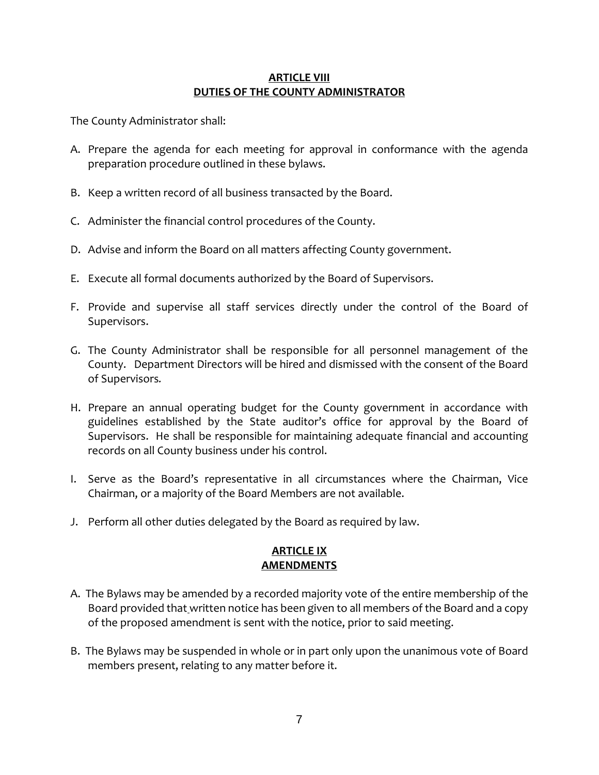### **ARTICLE VIII DUTIES OF THE COUNTY ADMINISTRATOR**

The County Administrator shall:

- A. Prepare the agenda for each meeting for approval in conformance with the agenda preparation procedure outlined in these bylaws.
- B. Keep a written record of all business transacted by the Board.
- C. Administer the financial control procedures of the County.
- D. Advise and inform the Board on all matters affecting County government.
- E. Execute all formal documents authorized by the Board of Supervisors.
- F. Provide and supervise all staff services directly under the control of the Board of Supervisors.
- G. The County Administrator shall be responsible for all personnel management of the County. Department Directors will be hired and dismissed with the consent of the Board of Supervisors*.*
- H. Prepare an annual operating budget for the County government in accordance with guidelines established by the State auditor's office for approval by the Board of Supervisors. He shall be responsible for maintaining adequate financial and accounting records on all County business under his control.
- I. Serve as the Board's representative in all circumstances where the Chairman, Vice Chairman, or a majority of the Board Members are not available.
- J. Perform all other duties delegated by the Board as required by law.

### **ARTICLE IX AMENDMENTS**

- A. The Bylaws may be amended by a recorded majority vote of the entire membership of the Board provided that written notice has been given to all members of the Board and a copy of the proposed amendment is sent with the notice, prior to said meeting.
- B. The Bylaws may be suspended in whole or in part only upon the unanimous vote of Board members present, relating to any matter before it.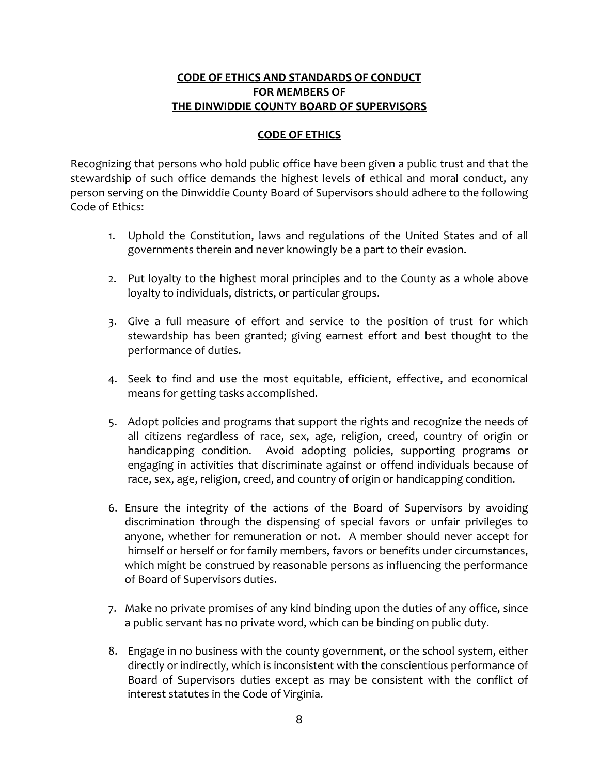### **CODE OF ETHICS AND STANDARDS OF CONDUCT FOR MEMBERS OF THE DINWIDDIE COUNTY BOARD OF SUPERVISORS**

### **CODE OF ETHICS**

Recognizing that persons who hold public office have been given a public trust and that the stewardship of such office demands the highest levels of ethical and moral conduct, any person serving on the Dinwiddie County Board of Supervisors should adhere to the following Code of Ethics:

- 1. Uphold the Constitution, laws and regulations of the United States and of all governments therein and never knowingly be a part to their evasion.
- 2. Put loyalty to the highest moral principles and to the County as a whole above loyalty to individuals, districts, or particular groups.
- 3. Give a full measure of effort and service to the position of trust for which stewardship has been granted; giving earnest effort and best thought to the performance of duties.
- 4. Seek to find and use the most equitable, efficient, effective, and economical means for getting tasks accomplished.
- 5. Adopt policies and programs that support the rights and recognize the needs of all citizens regardless of race, sex, age, religion, creed, country of origin or handicapping condition. Avoid adopting policies, supporting programs or engaging in activities that discriminate against or offend individuals because of race, sex, age, religion, creed, and country of origin or handicapping condition.
- 6. Ensure the integrity of the actions of the Board of Supervisors by avoiding discrimination through the dispensing of special favors or unfair privileges to anyone, whether for remuneration or not. A member should never accept for himself or herself or for family members, favors or benefits under circumstances, which might be construed by reasonable persons as influencing the performance of Board of Supervisors duties.
- 7. Make no private promises of any kind binding upon the duties of any office, since a public servant has no private word, which can be binding on public duty.
- 8. Engage in no business with the county government, or the school system, either directly or indirectly, which is inconsistent with the conscientious performance of Board of Supervisors duties except as may be consistent with the conflict of interest statutes in the Code of Virginia.